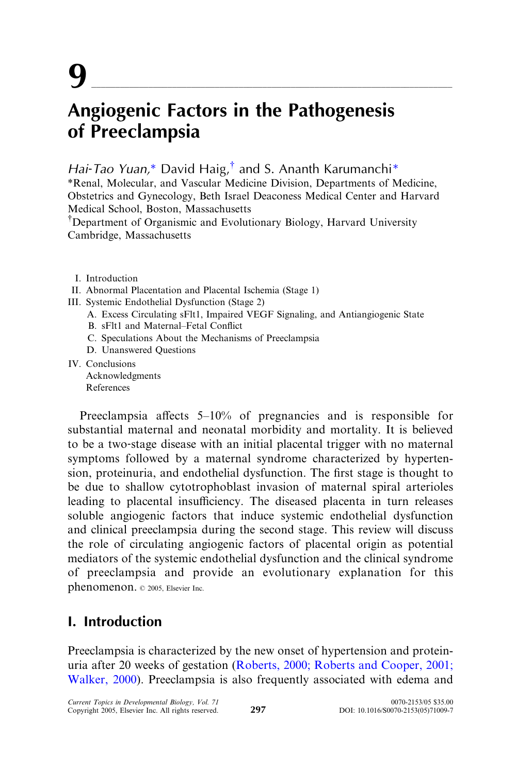Hai-Tao Yuan,\* David Haig, $^{\dagger}$  and S. Ananth Karumanchi\*

\*Renal, Molecular, and Vascular Medicine Division, Departments of Medicine, Obstetrics and Gynecology, Beth Israel Deaconess Medical Center and Harvard Medical School, Boston, Massachusetts

<sup>†</sup>Department of Organismic and Evolutionary Biology, Harvard University Cambridge, Massachusetts

- I. Introduction
- II. Abnormal Placentation and Placental Ischemia (Stage 1)
- III. Systemic Endothelial Dysfunction (Stage 2)
	- A. Excess Circulating sFlt1, Impaired VEGF Signaling, and Antiangiogenic State
	- B. sFlt1 and Maternal–Fetal Conflict
	- C. Speculations About the Mechanisms of Preeclampsia
	- D. Unanswered Questions

IV. Conclusions Acknowledgments References

Preeclampsia affects  $5-10\%$  of pregnancies and is responsible for substantial maternal and neonatal morbidity and mortality. It is believed to be a two‐stage disease with an initial placental trigger with no maternal symptoms followed by a maternal syndrome characterized by hypertension, proteinuria, and endothelial dysfunction. The first stage is thought to be due to shallow cytotrophoblast invasion of maternal spiral arterioles leading to placental insufficiency. The diseased placenta in turn releases soluble angiogenic factors that induce systemic endothelial dysfunction and clinical preeclampsia during the second stage. This review will discuss the role of circulating angiogenic factors of placental origin as potential mediators of the systemic endothelial dysfunction and the clinical syndrome of preeclampsia and provide an evolutionary explanation for this phenomenon.  $© 2005$ , Elsevier Inc.

# I. Introduction

Preeclampsia is characterized by the new onset of hypertension and proteinuria after 20 weeks of gestation ([Roberts, 2000; Roberts and Cooper, 2001;](#page-14-0) [Walker, 2000](#page-14-0)). Preeclampsia is also frequently associated with edema and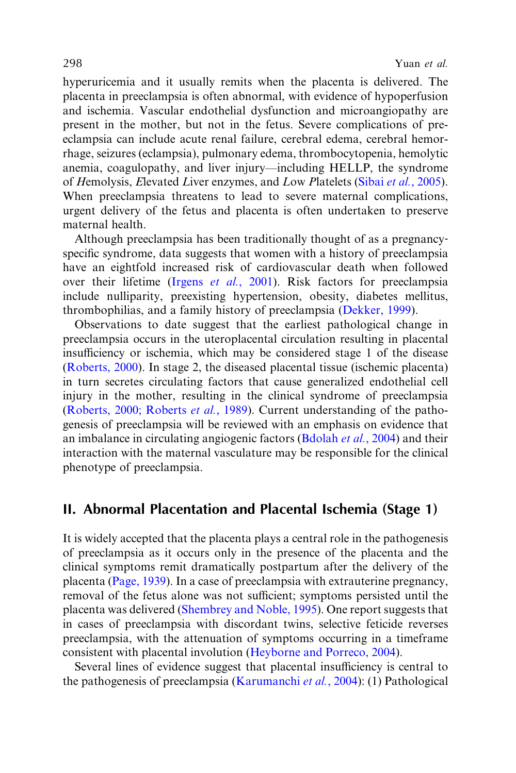hyperuricemia and it usually remits when the placenta is delivered. The placenta in preeclampsia is often abnormal, with evidence of hypoperfusion and ischemia. Vascular endothelial dysfunction and microangiopathy are present in the mother, but not in the fetus. Severe complications of preeclampsia can include acute renal failure, cerebral edema, cerebral hemorrhage, seizures (eclampsia), pulmonary edema, thrombocytopenia, hemolytic anemia, coagulopathy, and liver injury—including HELLP, the syndrome of Hemolysis, Elevated Liver enzymes, and Low Platelets (Sibai et al.[, 2005](#page-14-0)). When preeclampsia threatens to lead to severe maternal complications, urgent delivery of the fetus and placenta is often undertaken to preserve maternal health.

Although preeclampsia has been traditionally thought of as a pregnancy‐ specific syndrome, data suggests that women with a history of preeclampsia have an eightfold increased risk of cardiovascular death when followed over their lifetime (Irgens et al.[, 2001\)](#page-13-0). Risk factors for preeclampsia include nulliparity, preexisting hypertension, obesity, diabetes mellitus, thrombophilias, and a family history of preeclampsia ([Dekker, 1999](#page-12-0)).

Observations to date suggest that the earliest pathological change in preeclampsia occurs in the uteroplacental circulation resulting in placental insufficiency or ischemia, which may be considered stage 1 of the disease ([Roberts, 2000\)](#page-14-0). In stage 2, the diseased placental tissue (ischemic placenta) in turn secretes circulating factors that cause generalized endothelial cell injury in the mother, resulting in the clinical syndrome of preeclampsia ([Roberts, 2000; Roberts](#page-14-0) et al., 1989). Current understanding of the pathogenesis of preeclampsia will be reviewed with an emphasis on evidence that an imbalance in circulating angiogenic factors [\(Bdolah](#page-11-0) et al., 2004) and their interaction with the maternal vasculature may be responsible for the clinical phenotype of preeclampsia.

# II. Abnormal Placentation and Placental Ischemia (Stage 1)

It is widely accepted that the placenta plays a central role in the pathogenesis of preeclampsia as it occurs only in the presence of the placenta and the clinical symptoms remit dramatically postpartum after the delivery of the placenta ([Page, 1939](#page-14-0)). In a case of preeclampsia with extrauterine pregnancy, removal of the fetus alone was not sufficient; symptoms persisted until the placenta was delivered [\(Shembrey and Noble, 1995](#page-14-0)). One report suggests that in cases of preeclampsia with discordant twins, selective feticide reverses preeclampsia, with the attenuation of symptoms occurring in a timeframe consistent with placental involution [\(Heyborne and Porreco, 2004](#page-13-0)).

Several lines of evidence suggest that placental insufficiency is central to the pathogenesis of preeclampsia ([Karumanchi](#page-13-0) et al., 2004): (1) Pathological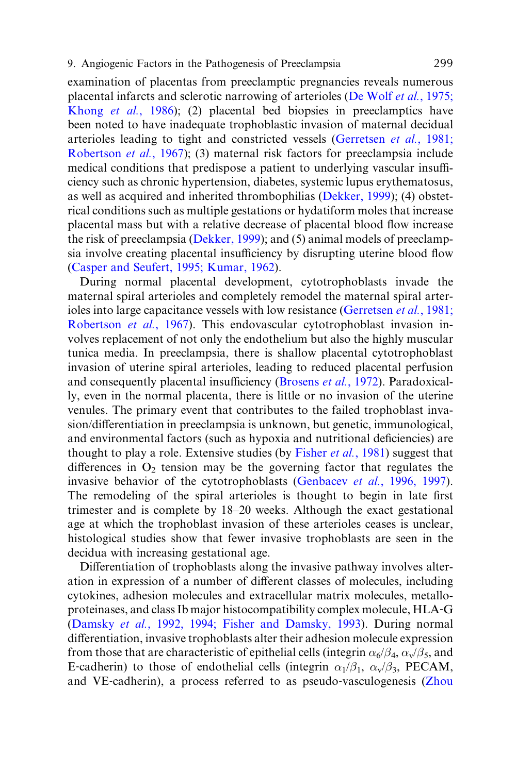examination of placentas from preeclamptic pregnancies reveals numerous placental infarcts and sclerotic narrowing of arterioles ([De Wolf](#page-11-0) et al., 1975; [Khong](#page-11-0) et al., 1986); (2) placental bed biopsies in preeclamptics have been noted to have inadequate trophoblastic invasion of maternal decidual arterioles leading to tight and constricted vessels ([Gerretsen](#page-12-0) et al., 1981; [Robertson](#page-12-0) et al., 1967); (3) maternal risk factors for preeclampsia include medical conditions that predispose a patient to underlying vascular insufficiency such as chronic hypertension, diabetes, systemic lupus erythematosus, as well as acquired and inherited thrombophilias ([Dekker, 1999](#page-12-0)); (4) obstetrical conditions such as multiple gestations or hydatiform moles that increase placental mass but with a relative decrease of placental blood flow increase the risk of preeclampsia ([Dekker, 1999](#page-12-0)); and (5) animal models of preeclampsia involve creating placental insufficiency by disrupting uterine blood flow [\(Casper and Seufert, 1995; Kumar, 1962\)](#page-11-0).

During normal placental development, cytotrophoblasts invade the maternal spiral arterioles and completely remodel the maternal spiral arter-ioles into large capacitance vessels with low resistance ([Gerretsen](#page-12-0) *et al.*, 1981; [Robertson](#page-12-0) et al., 1967). This endovascular cytotrophoblast invasion involves replacement of not only the endothelium but also the highly muscular tunica media. In preeclampsia, there is shallow placental cytotrophoblast invasion of uterine spiral arterioles, leading to reduced placental perfusion and consequently placental insufficiency ([Brosens](#page-11-0) *et al.*, 1972). Paradoxically, even in the normal placenta, there is little or no invasion of the uterine venules. The primary event that contributes to the failed trophoblast invasion/differentiation in preeclampsia is unknown, but genetic, immunological, and environmental factors (such as hypoxia and nutritional deficiencies) are thought to play a role. Extensive studies (by [Fisher](#page-12-0) *et al.*, 1981) suggest that differences in  $O_2$  tension may be the governing factor that regulates the invasive behavior of the cytotrophoblasts (Genbacev et al.[, 1996, 1997](#page-12-0)). The remodeling of the spiral arterioles is thought to begin in late first trimester and is complete by 18–20 weeks. Although the exact gestational age at which the trophoblast invasion of these arterioles ceases is unclear, histological studies show that fewer invasive trophoblasts are seen in the decidua with increasing gestational age.

Differentiation of trophoblasts along the invasive pathway involves alteration in expression of a number of different classes of molecules, including cytokines, adhesion molecules and extracellular matrix molecules, metalloproteinases, and class Ib major histocompatibility complex molecule, HLA‐G (Damsky et al.[, 1992, 1994; Fisher and Damsky, 1993](#page-11-0)). During normal differentiation, invasive trophoblasts alter their adhesion molecule expression from those that are characteristic of epithelial cells (integrin  $\alpha_6/\beta_4,\,\alpha_{\rm v}/\beta_5,$  and E-cadherin) to those of endothelial cells (integrin  $\alpha_1/\beta_1$ ,  $\alpha_v/\beta_3$ , PECAM, and VE-cadherin), a process referred to as pseudo-vasculogenesis [\(Zhou](#page-15-0)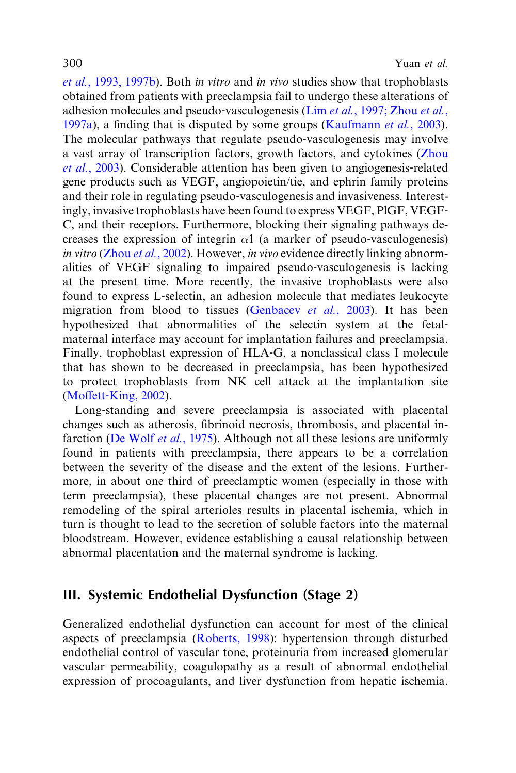et al.[, 1993, 1997b](#page-15-0)). Both in vitro and in vivo studies show that trophoblasts obtained from patients with preeclampsia fail to undergo these alterations of adhesion molecules and pseudo‐vasculogenesis (Lim et al.[, 1997; Zhou](#page-13-0) et al., [1997a](#page-13-0)), a finding that is disputed by some groups [\(Kaufmann](#page-13-0) et al., 2003). The molecular pathways that regulate pseudo-vasculogenesis may involve a vast array of transcription factors, growth factors, and cytokines [\(Zhou](#page-15-0) et al.[, 2003\)](#page-15-0). Considerable attention has been given to angiogenesis‐related gene products such as VEGF, angiopoietin/tie, and ephrin family proteins and their role in regulating pseudo‐vasculogenesis and invasiveness. Interestingly, invasive trophoblasts have been found to express VEGF, PlGF, VEGF‐ C, and their receptors. Furthermore, blocking their signaling pathways decreases the expression of integrin  $\alpha$ 1 (a marker of pseudo-vasculogenesis) in vitro (Zhou et al.[, 2002](#page-15-0)). However, in vivo evidence directly linking abnormalities of VEGF signaling to impaired pseudo‐vasculogenesis is lacking at the present time. More recently, the invasive trophoblasts were also found to express L‐selectin, an adhesion molecule that mediates leukocyte migration from blood to tissues [\(Genbacev](#page-12-0) *et al.*, 2003). It has been hypothesized that abnormalities of the selectin system at the fetal– maternal interface may account for implantation failures and preeclampsia. Finally, trophoblast expression of HLA‐G, a nonclassical class I molecule that has shown to be decreased in preeclampsia, has been hypothesized to protect trophoblasts from NK cell attack at the implantation site  $(Moffett-King, 2002).$  $(Moffett-King, 2002).$  $(Moffett-King, 2002).$ 

Long-standing and severe preeclampsia is associated with placental changes such as atherosis, fibrinoid necrosis, thrombosis, and placental infarction [\(De Wolf](#page-11-0) et al., 1975). Although not all these lesions are uniformly found in patients with preeclampsia, there appears to be a correlation between the severity of the disease and the extent of the lesions. Furthermore, in about one third of preeclamptic women (especially in those with term preeclampsia), these placental changes are not present. Abnormal remodeling of the spiral arterioles results in placental ischemia, which in turn is thought to lead to the secretion of soluble factors into the maternal bloodstream. However, evidence establishing a causal relationship between abnormal placentation and the maternal syndrome is lacking.

# III. Systemic Endothelial Dysfunction (Stage 2)

Generalized endothelial dysfunction can account for most of the clinical aspects of preeclampsia [\(Roberts, 1998\)](#page-14-0): hypertension through disturbed endothelial control of vascular tone, proteinuria from increased glomerular vascular permeability, coagulopathy as a result of abnormal endothelial expression of procoagulants, and liver dysfunction from hepatic ischemia.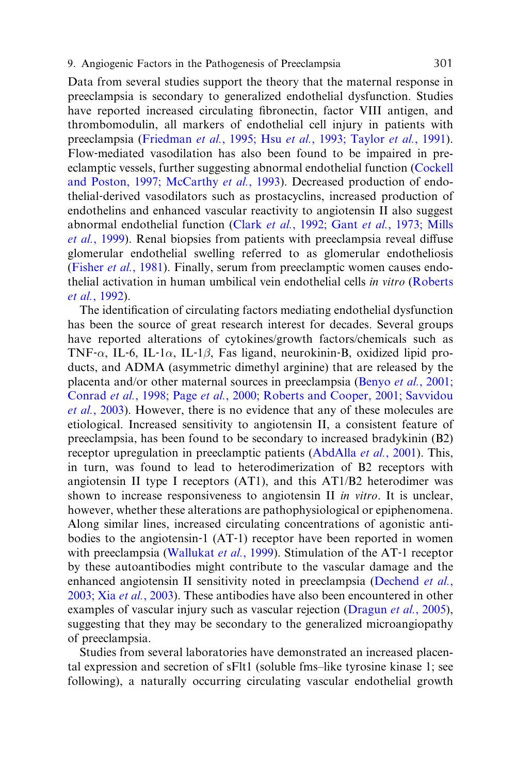Data from several studies support the theory that the maternal response in preeclampsia is secondary to generalized endothelial dysfunction. Studies have reported increased circulating fibronectin, factor VIII antigen, and thrombomodulin, all markers of endothelial cell injury in patients with preeclampsia (Friedman et al., 1995; Hsu et al.[, 1993; Taylor](#page-12-0) et al., 1991). Flow-mediated vasodilation has also been found to be impaired in preeclamptic vessels, further suggesting abnormal endothelial function [\(Cockell](#page-11-0) [and Poston, 1997; McCarthy](#page-11-0) et al., 1993). Decreased production of endothelial‐derived vasodilators such as prostacyclins, increased production of endothelins and enhanced vascular reactivity to angiotensin II also suggest abnormal endothelial function (Clark et al.[, 1992; Gant](#page-11-0) et al., 1973; Mills *et al.*[, 1999](#page-11-0)). Renal biopsies from patients with preeclampsia reveal diffuse glomerular endothelial swelling referred to as glomerular endotheliosis [\(Fisher](#page-12-0) et al., 1981). Finally, serum from preeclamptic women causes endothelial activation in human umbilical vein endothelial cells in vitro [\(Roberts](#page-14-0) et al.[, 1992](#page-14-0)).

The identification of circulating factors mediating endothelial dysfunction has been the source of great research interest for decades. Several groups have reported alterations of cytokines/growth factors/chemicals such as TNF- $\alpha$ , IL-6, IL-1 $\alpha$ , IL-1 $\beta$ , Fas ligand, neurokinin-B, oxidized lipid products, and ADMA (asymmetric dimethyl arginine) that are released by the placenta and/or other maternal sources in preeclampsia (Benyo et al.[, 2001;](#page-11-0) Conrad et al., 1998; Page et al.[, 2000; Roberts and Cooper, 2001; Savvidou](#page-11-0) et al.[, 2003\)](#page-11-0). However, there is no evidence that any of these molecules are etiological. Increased sensitivity to angiotensin II, a consistent feature of preeclampsia, has been found to be secondary to increased bradykinin (B2) receptor upregulation in preeclamptic patients ([AbdAlla](#page-11-0) *et al.*, 2001). This, in turn, was found to lead to heterodimerization of B2 receptors with angiotensin II type I receptors (AT1), and this AT1/B2 heterodimer was shown to increase responsiveness to angiotensin II in vitro. It is unclear, however, whether these alterations are pathophysiological or epiphenomena. Along similar lines, increased circulating concentrations of agonistic antibodies to the angiotensin‐1 (AT‐1) receptor have been reported in women with preeclampsia [\(Wallukat](#page-15-0) *et al.*, 1999). Stimulation of the AT-1 receptor by these autoantibodies might contribute to the vascular damage and the enhanced angiotensin II sensitivity noted in preeclampsia [\(Dechend](#page-12-0) et al., [2003; Xia](#page-12-0) et al., 2003). These antibodies have also been encountered in other examples of vascular injury such as vascular rejection [\(Dragun](#page-12-0) et al., 2005), suggesting that they may be secondary to the generalized microangiopathy of preeclampsia.

Studies from several laboratories have demonstrated an increased placental expression and secretion of sFlt1 (soluble fms–like tyrosine kinase 1; see following), a naturally occurring circulating vascular endothelial growth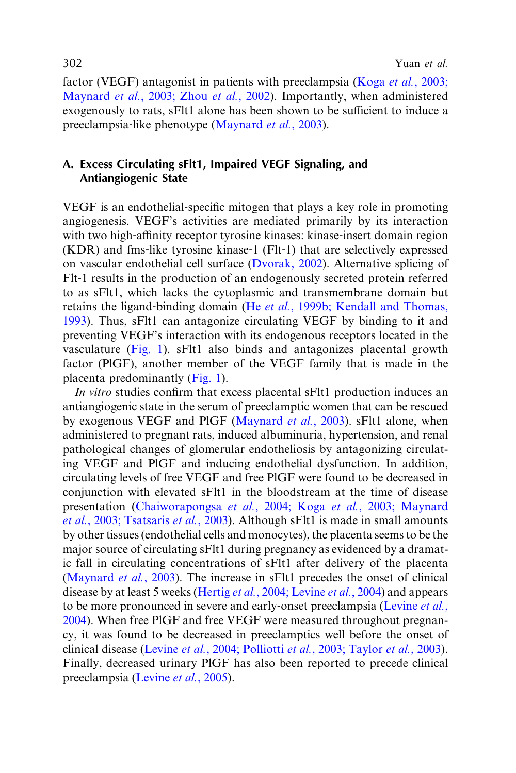factor (VEGF) antagonist in patients with preeclampsia (Koga et al.[, 2003;](#page-13-0) Maynard et al.[, 2003; Zhou](#page-13-0) et al., 2002). Importantly, when administered exogenously to rats, sFlt1 alone has been shown to be sufficient to induce a preeclampsia-like phenotype [\(Maynard](#page-13-0) *et al.*, 2003).

### A. Excess Circulating sFlt1, Impaired VEGF Signaling, and Antiangiogenic State

VEGF is an endothelial‐specific mitogen that plays a key role in promoting angiogenesis. VEGF's activities are mediated primarily by its interaction with two high-affinity receptor tyrosine kinases: kinase-insert domain region (KDR) and fms‐like tyrosine kinase‐1 (Flt‐1) that are selectively expressed on vascular endothelial cell surface ([Dvorak, 2002\)](#page-12-0). Alternative splicing of Flt-1 results in the production of an endogenously secreted protein referred to as sFlt1, which lacks the cytoplasmic and transmembrane domain but retains the ligand-binding domain (He et al.[, 1999b; Kendall and Thomas,](#page-13-0) [1993](#page-13-0)). Thus, sFlt1 can antagonize circulating VEGF by binding to it and preventing VEGF's interaction with its endogenous receptors located in the vasculature [\(Fig. 1\)](#page-6-0). sFlt1 also binds and antagonizes placental growth factor (PlGF), another member of the VEGF family that is made in the placenta predominantly [\(Fig. 1](#page-6-0)).

In vitro studies confirm that excess placental sFlt1 production induces an antiangiogenic state in the serum of preeclamptic women that can be rescued by exogenous VEGF and PlGF [\(Maynard](#page-13-0) *et al.*, 2003). sFlt1 alone, when administered to pregnant rats, induced albuminuria, hypertension, and renal pathological changes of glomerular endotheliosis by antagonizing circulating VEGF and PlGF and inducing endothelial dysfunction. In addition, circulating levels of free VEGF and free PlGF were found to be decreased in conjunction with elevated sFlt1 in the bloodstream at the time of disease presentation (Chaiworapongsa et al., 2004; Koga et al.[, 2003; Maynard](#page-11-0) et al.[, 2003; Tsatsaris](#page-11-0) et al., 2003). Although sFlt1 is made in small amounts by other tissues (endothelial cells and monocytes), the placenta seems to be the major source of circulating sFlt1 during pregnancy as evidenced by a dramatic fall in circulating concentrations of sFlt1 after delivery of the placenta ([Maynard](#page-13-0) et al., 2003). The increase in sFlt1 precedes the onset of clinical disease by at least 5 weeks (Hertig *et al.*[, 2004; Levine](#page-13-0) *et al.*, 2004) and appears to be more pronounced in severe and early-onset preeclampsia [\(Levine](#page-13-0) et al., [2004](#page-13-0)). When free PlGF and free VEGF were measured throughout pregnancy, it was found to be decreased in preeclamptics well before the onset of clinical disease (Levine et al.[, 2004; Polliotti](#page-13-0) et al., 2003; Taylor et al., 2003). Finally, decreased urinary PlGF has also been reported to precede clinical preeclampsia ([Levine](#page-13-0) et al., 2005).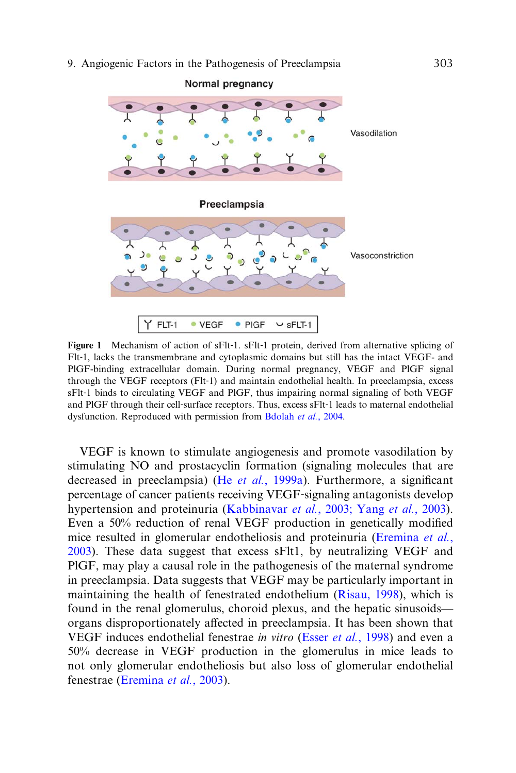<span id="page-6-0"></span>

Figure 1 Mechanism of action of sFlt-1. sFlt-1 protein, derived from alternative splicing of Flt-1, lacks the transmembrane and cytoplasmic domains but still has the intact VEGF- and PlGF-binding extracellular domain. During normal pregnancy, VEGF and PlGF signal through the VEGF receptors (Flt‐1) and maintain endothelial health. In preeclampsia, excess sFlt-1 binds to circulating VEGF and PIGF, thus impairing normal signaling of both VEGF and PIGF through their cell-surface receptors. Thus, excess sFIt-1 leads to maternal endothelial dysfunction. Reproduced with permission from [Bdolah](#page-11-0) et al., 2004.

VEGF is known to stimulate angiogenesis and promote vasodilation by stimulating NO and prostacyclin formation (signaling molecules that are decreased in preeclampsia) (He et al.[, 1999a\)](#page-12-0). Furthermore, a significant percentage of cancer patients receiving VEGF‐signaling antagonists develop hypertension and proteinuria (Kabbinavar *et al.*[, 2003; Yang](#page-13-0) *et al.*, 2003). Even a 50% reduction of renal VEGF production in genetically modified mice resulted in glomerular endotheliosis and proteinuria ([Eremina](#page-12-0) et al., [2003\)](#page-12-0). These data suggest that excess sFlt1, by neutralizing VEGF and PlGF, may play a causal role in the pathogenesis of the maternal syndrome in preeclampsia. Data suggests that VEGF may be particularly important in maintaining the health of fenestrated endothelium ([Risau, 1998\)](#page-14-0), which is found in the renal glomerulus, choroid plexus, and the hepatic sinusoids organs disproportionately affected in preeclampsia. It has been shown that VEGF induces endothelial fenestrae in vitro (Esser et al.[, 1998\)](#page-12-0) and even a 50% decrease in VEGF production in the glomerulus in mice leads to not only glomerular endotheliosis but also loss of glomerular endothelial fenestrae ([Eremina](#page-12-0) et al., 2003).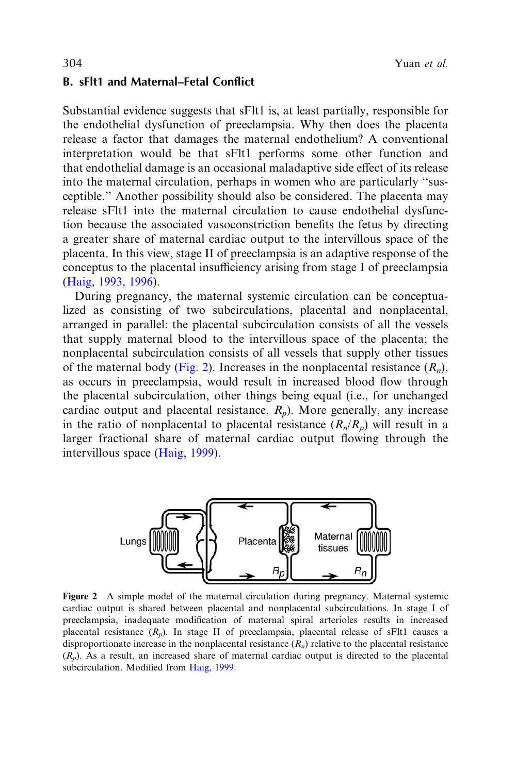#### B. sFlt1 and Maternal–Fetal Conflict

Substantial evidence suggests that sFlt1 is, at least partially, responsible for the endothelial dysfunction of preeclampsia. Why then does the placenta release a factor that damages the maternal endothelium? A conventional interpretation would be that sFlt1 performs some other function and that endothelial damage is an occasional maladaptive side effect of its release into the maternal circulation, perhaps in women who are particularly ''susceptible.'' Another possibility should also be considered. The placenta may release sFlt1 into the maternal circulation to cause endothelial dysfunction because the associated vasoconstriction benefits the fetus by directing a greater share of maternal cardiac output to the intervillous space of the placenta. In this view, stage II of preeclampsia is an adaptive response of the conceptus to the placental insufficiency arising from stage I of preeclampsia ([Haig, 1993, 1996](#page-12-0)).

During pregnancy, the maternal systemic circulation can be conceptualized as consisting of two subcirculations, placental and nonplacental, arranged in parallel: the placental subcirculation consists of all the vessels that supply maternal blood to the intervillous space of the placenta; the nonplacental subcirculation consists of all vessels that supply other tissues of the maternal body (Fig. 2). Increases in the nonplacental resistance  $(R_n)$ , as occurs in preeclampsia, would result in increased blood flow through the placental subcirculation, other things being equal (i.e., for unchanged cardiac output and placental resistance,  $R_p$ ). More generally, any increase in the ratio of nonplacental to placental resistance  $(R_n/R_n)$  will result in a larger fractional share of maternal cardiac output flowing through the intervillous space ([Haig, 1999](#page-12-0)).



Figure 2 A simple model of the maternal circulation during pregnancy. Maternal systemic cardiac output is shared between placental and nonplacental subcirculations. In stage I of preeclampsia, inadequate modification of maternal spiral arterioles results in increased placental resistance  $(R_p)$ . In stage II of preeclampsia, placental release of sFlt1 causes a disproportionate increase in the nonplacental resistance  $(R_n)$  relative to the placental resistance  $(R_p)$ . As a result, an increased share of maternal cardiac output is directed to the placental subcirculation. Modified from [Haig, 1999.](#page-12-0)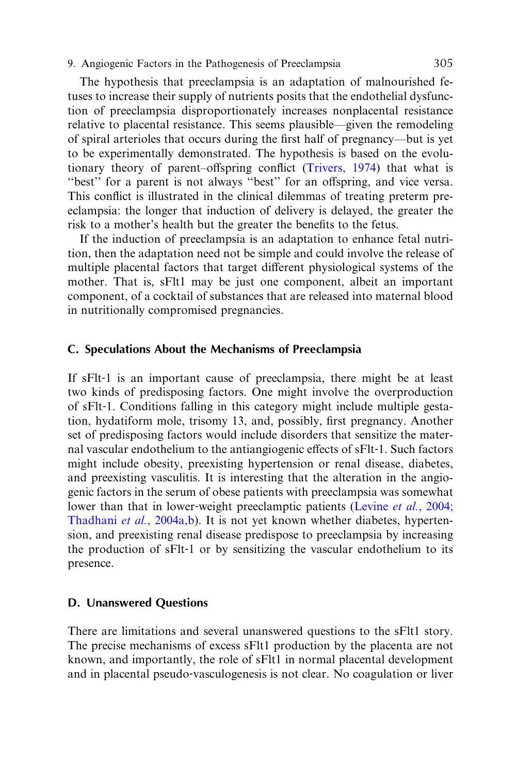The hypothesis that preeclampsia is an adaptation of malnourished fetuses to increase their supply of nutrients posits that the endothelial dysfunction of preeclampsia disproportionately increases nonplacental resistance relative to placental resistance. This seems plausible—given the remodeling of spiral arterioles that occurs during the first half of pregnancy—but is yet to be experimentally demonstrated. The hypothesis is based on the evolutionary theory of parent–offspring conflict (Trivers,  $1974$ ) that what is "best" for a parent is not always "best" for an offspring, and vice versa. This conflict is illustrated in the clinical dilemmas of treating preterm preeclampsia: the longer that induction of delivery is delayed, the greater the risk to a mother's health but the greater the benefits to the fetus.

If the induction of preeclampsia is an adaptation to enhance fetal nutrition, then the adaptation need not be simple and could involve the release of multiple placental factors that target different physiological systems of the mother. That is, sFlt1 may be just one component, albeit an important component, of a cocktail of substances that are released into maternal blood in nutritionally compromised pregnancies.

#### C. Speculations About the Mechanisms of Preeclampsia

If sFlt-1 is an important cause of preeclampsia, there might be at least two kinds of predisposing factors. One might involve the overproduction of sFlt‐1. Conditions falling in this category might include multiple gestation, hydatiform mole, trisomy 13, and, possibly, first pregnancy. Another set of predisposing factors would include disorders that sensitize the maternal vascular endothelium to the antiangiogenic effects of sFlt-1. Such factors might include obesity, preexisting hypertension or renal disease, diabetes, and preexisting vasculitis. It is interesting that the alteration in the angiogenic factors in the serum of obese patients with preeclampsia was somewhat lower than that in lower-weight preeclamptic patients (Levine *et al.*[, 2004;](#page-13-0) [Thadhani](#page-13-0) et al., 2004a,b). It is not yet known whether diabetes, hypertension, and preexisting renal disease predispose to preeclampsia by increasing the production of sFlt‐1 or by sensitizing the vascular endothelium to its presence.

#### D. Unanswered Questions

There are limitations and several unanswered questions to the sFlt1 story. The precise mechanisms of excess sFlt1 production by the placenta are not known, and importantly, the role of sFlt1 in normal placental development and in placental pseudo‐vasculogenesis is not clear. No coagulation or liver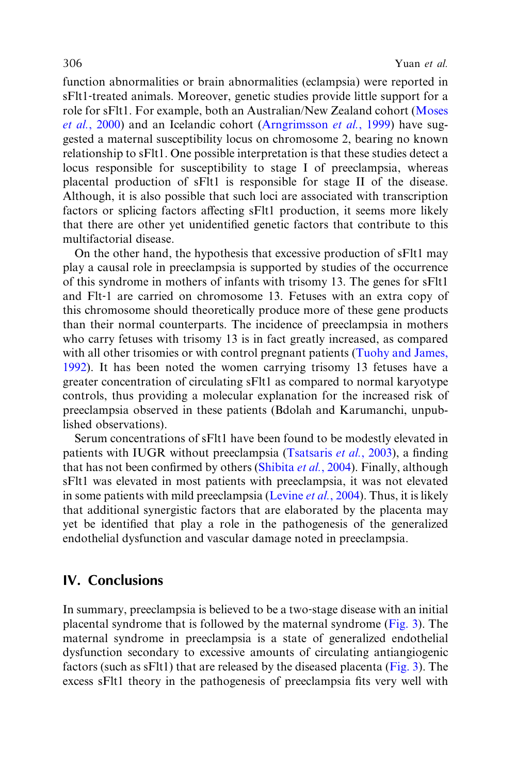function abnormalities or brain abnormalities (eclampsia) were reported in sFlt1‐treated animals. Moreover, genetic studies provide little support for a role for sFlt1. For example, both an Australian/New Zealand cohort ([Moses](#page-14-0) et al.[, 2000\)](#page-14-0) and an Icelandic cohort [\(Arngrimsson](#page-11-0) et al., 1999) have suggested a maternal susceptibility locus on chromosome 2, bearing no known relationship to sFlt1. One possible interpretation is that these studies detect a locus responsible for susceptibility to stage I of preeclampsia, whereas placental production of sFlt1 is responsible for stage II of the disease. Although, it is also possible that such loci are associated with transcription factors or splicing factors affecting sFlt1 production, it seems more likely that there are other yet unidentified genetic factors that contribute to this multifactorial disease.

On the other hand, the hypothesis that excessive production of sFlt1 may play a causal role in preeclampsia is supported by studies of the occurrence of this syndrome in mothers of infants with trisomy 13. The genes for sFlt1 and Flt‐1 are carried on chromosome 13. Fetuses with an extra copy of this chromosome should theoretically produce more of these gene products than their normal counterparts. The incidence of preeclampsia in mothers who carry fetuses with trisomy 13 is in fact greatly increased, as compared with all other trisomies or with control pregnant patients ([Tuohy and James,](#page-15-0) [1992](#page-15-0)). It has been noted the women carrying trisomy 13 fetuses have a greater concentration of circulating sFlt1 as compared to normal karyotype controls, thus providing a molecular explanation for the increased risk of preeclampsia observed in these patients (Bdolah and Karumanchi, unpublished observations).

Serum concentrations of sFlt1 have been found to be modestly elevated in patients with IUGR without preeclampsia [\(Tsatsaris](#page-15-0) et al., 2003), a finding that has not been confirmed by others [\(Shibita](#page-14-0) et al., 2004). Finally, although sFlt1 was elevated in most patients with preeclampsia, it was not elevated in some patients with mild preeclampsia [\(Levine](#page-13-0) *et al.*, 2004). Thus, it is likely that additional synergistic factors that are elaborated by the placenta may yet be identified that play a role in the pathogenesis of the generalized endothelial dysfunction and vascular damage noted in preeclampsia.

# IV. Conclusions

In summary, preeclampsia is believed to be a two‐stage disease with an initial placental syndrome that is followed by the maternal syndrome [\(Fig. 3\)](#page-10-0). The maternal syndrome in preeclampsia is a state of generalized endothelial dysfunction secondary to excessive amounts of circulating antiangiogenic factors (such as sFlt1) that are released by the diseased placenta [\(Fig. 3](#page-10-0)). The excess sFlt1 theory in the pathogenesis of preeclampsia fits very well with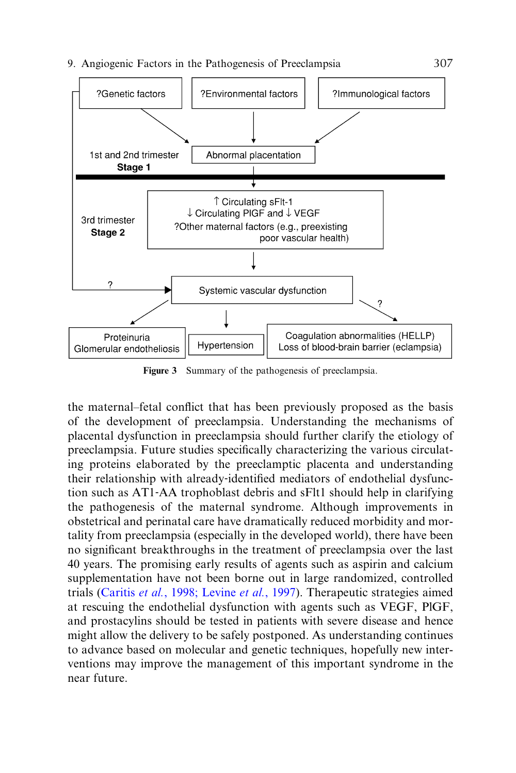<span id="page-10-0"></span>

Figure 3 Summary of the pathogenesis of preeclampsia.

the maternal–fetal conflict that has been previously proposed as the basis of the development of preeclampsia. Understanding the mechanisms of placental dysfunction in preeclampsia should further clarify the etiology of preeclampsia. Future studies specifically characterizing the various circulating proteins elaborated by the preeclamptic placenta and understanding their relationship with already‐identified mediators of endothelial dysfunction such as AT1‐AA trophoblast debris and sFlt1 should help in clarifying the pathogenesis of the maternal syndrome. Although improvements in obstetrical and perinatal care have dramatically reduced morbidity and mortality from preeclampsia (especially in the developed world), there have been no significant breakthroughs in the treatment of preeclampsia over the last 40 years. The promising early results of agents such as aspirin and calcium supplementation have not been borne out in large randomized, controlled trials (Caritis et al.[, 1998; Levine](#page-11-0) et al., 1997). Therapeutic strategies aimed at rescuing the endothelial dysfunction with agents such as VEGF, PlGF, and prostacylins should be tested in patients with severe disease and hence might allow the delivery to be safely postponed. As understanding continues to advance based on molecular and genetic techniques, hopefully new interventions may improve the management of this important syndrome in the near future.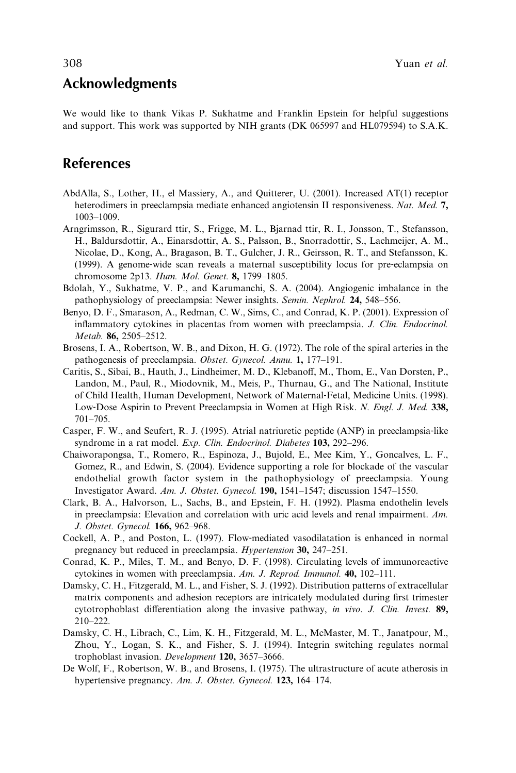# <span id="page-11-0"></span>Acknowledgments

We would like to thank Vikas P. Sukhatme and Franklin Epstein for helpful suggestions and support. This work was supported by NIH grants (DK 065997 and HL079594) to S.A.K.

# References

- AbdAlla, S., Lother, H., el Massiery, A., and Quitterer, U. (2001). Increased AT(1) receptor heterodimers in preeclampsia mediate enhanced angiotensin II responsiveness. Nat. Med. 7, 1003–1009.
- Arngrimsson, R., Sigurard ttir, S., Frigge, M. L., Bjarnad ttir, R. I., Jonsson, T., Stefansson, H., Baldursdottir, A., Einarsdottir, A. S., Palsson, B., Snorradottir, S., Lachmeijer, A. M., Nicolae, D., Kong, A., Bragason, B. T., Gulcher, J. R., Geirsson, R. T., and Stefansson, K. (1999). A genome‐wide scan reveals a maternal susceptibility locus for pre‐eclampsia on chromosome 2p13. Hum. Mol. Genet. 8, 1799–1805.
- Bdolah, Y., Sukhatme, V. P., and Karumanchi, S. A. (2004). Angiogenic imbalance in the pathophysiology of preeclampsia: Newer insights. Semin. Nephrol. 24, 548–556.
- Benyo, D. F., Smarason, A., Redman, C. W., Sims, C., and Conrad, K. P. (2001). Expression of inflammatory cytokines in placentas from women with preeclampsia. J. Clin. Endocrinol. Metab. 86, 2505-2512.
- Brosens, I. A., Robertson, W. B., and Dixon, H. G. (1972). The role of the spiral arteries in the pathogenesis of preeclampsia. Obstet. Gynecol. Annu. 1, 177–191.
- Caritis, S., Sibai, B., Hauth, J., Lindheimer, M. D., Klebanoff, M., Thom, E., Van Dorsten, P., Landon, M., Paul, R., Miodovnik, M., Meis, P., Thurnau, G., and The National, Institute of Child Health, Human Development, Network of Maternal‐Fetal, Medicine Units. (1998). Low-Dose Aspirin to Prevent Preeclampsia in Women at High Risk. N. Engl. J. Med. 338, 701–705.
- Casper, F. W., and Seufert, R. J. (1995). Atrial natriuretic peptide (ANP) in preeclampsia‐like syndrome in a rat model. Exp. Clin. Endocrinol. Diabetes 103, 292-296.
- Chaiworapongsa, T., Romero, R., Espinoza, J., Bujold, E., Mee Kim, Y., Goncalves, L. F., Gomez, R., and Edwin, S. (2004). Evidence supporting a role for blockade of the vascular endothelial growth factor system in the pathophysiology of preeclampsia. Young Investigator Award. Am. J. Obstet. Gynecol. 190, 1541–1547; discussion 1547–1550.
- Clark, B. A., Halvorson, L., Sachs, B., and Epstein, F. H. (1992). Plasma endothelin levels in preeclampsia: Elevation and correlation with uric acid levels and renal impairment. Am. J. Obstet. Gynecol. 166, 962–968.
- Cockell, A. P., and Poston, L. (1997). Flow‐mediated vasodilatation is enhanced in normal pregnancy but reduced in preeclampsia. Hypertension 30, 247–251.
- Conrad, K. P., Miles, T. M., and Benyo, D. F. (1998). Circulating levels of immunoreactive cytokines in women with preeclampsia. Am. J. Reprod. Immunol. 40, 102–111.
- Damsky, C. H., Fitzgerald, M. L., and Fisher, S. J. (1992). Distribution patterns of extracellular matrix components and adhesion receptors are intricately modulated during first trimester cytotrophoblast differentiation along the invasive pathway, in vivo. J. Clin. Invest.  $89$ , 210–222.
- Damsky, C. H., Librach, C., Lim, K. H., Fitzgerald, M. L., McMaster, M. T., Janatpour, M., Zhou, Y., Logan, S. K., and Fisher, S. J. (1994). Integrin switching regulates normal trophoblast invasion. Development 120, 3657–3666.
- De Wolf, F., Robertson, W. B., and Brosens, I. (1975). The ultrastructure of acute atherosis in hypertensive pregnancy. Am. J. Obstet. Gynecol. 123, 164-174.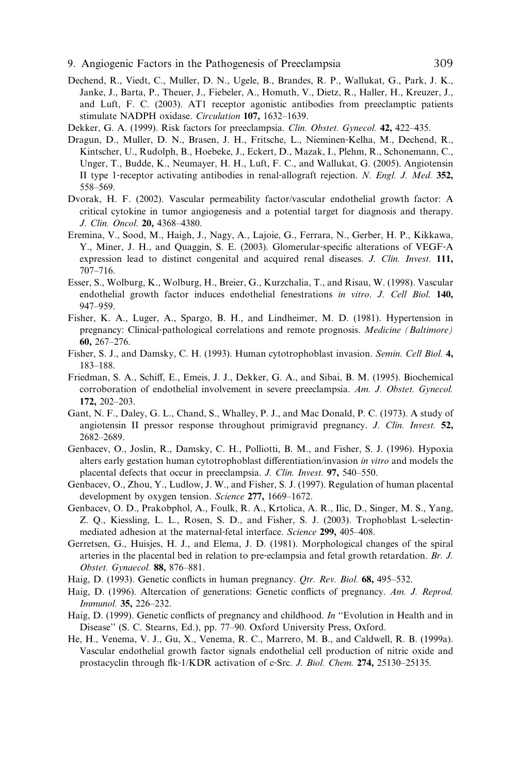- <span id="page-12-0"></span>9. Angiogenic Factors in the Pathogenesis of Preeclampsia 309
- Dechend, R., Viedt, C., Muller, D. N., Ugele, B., Brandes, R. P., Wallukat, G., Park, J. K., Janke, J., Barta, P., Theuer, J., Fiebeler, A., Homuth, V., Dietz, R., Haller, H., Kreuzer, J., and Luft, F. C. (2003). AT1 receptor agonistic antibodies from preeclamptic patients stimulate NADPH oxidase. Circulation 107, 1632–1639.
- Dekker, G. A. (1999). Risk factors for preeclampsia. Clin. Obstet. Gynecol. 42, 422–435.
- Dragun, D., Muller, D. N., Brasen, J. H., Fritsche, L., Nieminen‐Kelha, M., Dechend, R., Kintscher, U., Rudolph, B., Hoebeke, J., Eckert, D., Mazak, I., Plehm, R., Schonemann, C., Unger, T., Budde, K., Neumayer, H. H., Luft, F. C., and Wallukat, G. (2005). Angiotensin II type 1‐receptor activating antibodies in renal‐allograft rejection. N. Engl. J. Med. 352, 558–569.
- Dvorak, H. F. (2002). Vascular permeability factor/vascular endothelial growth factor: A critical cytokine in tumor angiogenesis and a potential target for diagnosis and therapy. J. Clin. Oncol. 20, 4368–4380.
- Eremina, V., Sood, M., Haigh, J., Nagy, A., Lajoie, G., Ferrara, N., Gerber, H. P., Kikkawa, Y., Miner, J. H., and Quaggin, S. E. (2003). Glomerular‐specific alterations of VEGF‐A expression lead to distinct congenital and acquired renal diseases. J. Clin. Invest. 111, 707–716.
- Esser, S., Wolburg, K., Wolburg, H., Breier, G., Kurzchalia, T., and Risau, W. (1998). Vascular endothelial growth factor induces endothelial fenestrations in vitro. J. Cell Biol. 140, 947–959.
- Fisher, K. A., Luger, A., Spargo, B. H., and Lindheimer, M. D. (1981). Hypertension in pregnancy: Clinical‐pathological correlations and remote prognosis. Medicine (Baltimore) 60, 267–276.
- Fisher, S. J., and Damsky, C. H. (1993). Human cytotrophoblast invasion. Semin. Cell Biol. 4, 183–188.
- Friedman, S. A., Schiff, E., Emeis, J. J., Dekker, G. A., and Sibai, B. M. (1995). Biochemical corroboration of endothelial involvement in severe preeclampsia. Am. J. Obstet. Gynecol. 172, 202–203.
- Gant, N. F., Daley, G. L., Chand, S., Whalley, P. J., and Mac Donald, P. C. (1973). A study of angiotensin II pressor response throughout primigravid pregnancy. J. Clin. Invest. 52, 2682–2689.
- Genbacev, O., Joslin, R., Damsky, C. H., Polliotti, B. M., and Fisher, S. J. (1996). Hypoxia alters early gestation human cytotrophoblast differentiation/invasion in vitro and models the placental defects that occur in preeclampsia. J. Clin. Invest. 97, 540–550.
- Genbacev, O., Zhou, Y., Ludlow, J. W., and Fisher, S. J. (1997). Regulation of human placental development by oxygen tension. Science 277, 1669–1672.
- Genbacev, O. D., Prakobphol, A., Foulk, R. A., Krtolica, A. R., Ilic, D., Singer, M. S., Yang, Z. Q., Kiessling, L. L., Rosen, S. D., and Fisher, S. J. (2003). Trophoblast L-selectinmediated adhesion at the maternal-fetal interface. Science 299, 405–408.
- Gerretsen, G., Huisjes, H. J., and Elema, J. D. (1981). Morphological changes of the spiral arteries in the placental bed in relation to pre‐eclampsia and fetal growth retardation. Br. J. Obstet. Gynaecol. 88, 876–881.
- Haig, D. (1993). Genetic conflicts in human pregnancy. *Qtr. Rev. Biol.* 68, 495–532.
- Haig, D. (1996). Altercation of generations: Genetic conflicts of pregnancy. Am. J. Reprod. Immunol. 35, 226–232.
- Haig, D. (1999). Genetic conflicts of pregnancy and childhood. In "Evolution in Health and in Disease'' (S. C. Stearns, Ed.), pp. 77–90. Oxford University Press, Oxford.
- He, H., Venema, V. J., Gu, X., Venema, R. C., Marrero, M. B., and Caldwell, R. B. (1999a). Vascular endothelial growth factor signals endothelial cell production of nitric oxide and prostacyclin through flk‐1/KDR activation of c‐Src. J. Biol. Chem. 274, 25130–25135.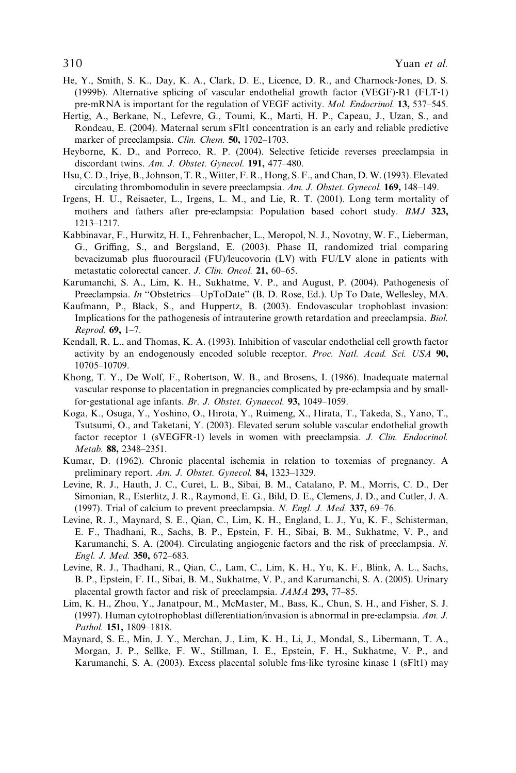- <span id="page-13-0"></span>He, Y., Smith, S. K., Day, K. A., Clark, D. E., Licence, D. R., and Charnock‐Jones, D. S. (1999b). Alternative splicing of vascular endothelial growth factor (VEGF)‐R1 (FLT‐1) pre-mRNA is important for the regulation of VEGF activity. *Mol. Endocrinol.* 13, 537–545.
- Hertig, A., Berkane, N., Lefevre, G., Toumi, K., Marti, H. P., Capeau, J., Uzan, S., and Rondeau, E. (2004). Maternal serum sFlt1 concentration is an early and reliable predictive marker of preeclampsia. Clin. Chem. 50, 1702-1703.
- Heyborne, K. D., and Porreco, R. P. (2004). Selective feticide reverses preeclampsia in discordant twins. Am. J. Obstet. Gynecol. 191, 477–480.
- Hsu, C. D., Iriye, B., Johnson, T. R., Witter, F. R., Hong, S. F., and Chan, D. W. (1993). Elevated circulating thrombomodulin in severe preeclampsia. Am. J. Obstet. Gynecol. 169, 148–149.
- Irgens, H. U., Reisaeter, L., Irgens, L. M., and Lie, R. T. (2001). Long term mortality of mothers and fathers after pre-eclampsia: Population based cohort study. BMJ 323, 1213–1217.
- Kabbinavar, F., Hurwitz, H. I., Fehrenbacher, L., Meropol, N. J., Novotny, W. F., Lieberman, G., Griffing, S., and Bergsland, E. (2003). Phase II, randomized trial comparing bevacizumab plus fluorouracil (FU)/leucovorin (LV) with FU/LV alone in patients with metastatic colorectal cancer. J. Clin. Oncol. 21, 60–65.
- Karumanchi, S. A., Lim, K. H., Sukhatme, V. P., and August, P. (2004). Pathogenesis of Preeclampsia. In "Obstetrics—UpToDate" (B. D. Rose, Ed.). Up To Date, Wellesley, MA.
- Kaufmann, P., Black, S., and Huppertz, B. (2003). Endovascular trophoblast invasion: Implications for the pathogenesis of intrauterine growth retardation and preeclampsia. Biol. Reprod. 69, 1–7.
- Kendall, R. L., and Thomas, K. A. (1993). Inhibition of vascular endothelial cell growth factor activity by an endogenously encoded soluble receptor. Proc. Natl. Acad. Sci. USA 90, 10705–10709.
- Khong, T. Y., De Wolf, F., Robertson, W. B., and Brosens, I. (1986). Inadequate maternal vascular response to placentation in pregnancies complicated by pre-eclampsia and by smallfor-gestational age infants. Br. J. Obstet. Gynaecol. 93, 1049–1059.
- Koga, K., Osuga, Y., Yoshino, O., Hirota, Y., Ruimeng, X., Hirata, T., Takeda, S., Yano, T., Tsutsumi, O., and Taketani, Y. (2003). Elevated serum soluble vascular endothelial growth factor receptor 1 (sVEGFR-1) levels in women with preeclampsia. *J. Clin. Endocrinol.* Metab. 88, 2348–2351.
- Kumar, D. (1962). Chronic placental ischemia in relation to toxemias of pregnancy. A preliminary report. Am. J. Obstet. Gynecol. 84, 1323–1329.
- Levine, R. J., Hauth, J. C., Curet, L. B., Sibai, B. M., Catalano, P. M., Morris, C. D., Der Simonian, R., Esterlitz, J. R., Raymond, E. G., Bild, D. E., Clemens, J. D., and Cutler, J. A. (1997). Trial of calcium to prevent preeclampsia. N. Engl. J. Med. 337, 69–76.
- Levine, R. J., Maynard, S. E., Qian, C., Lim, K. H., England, L. J., Yu, K. F., Schisterman, E. F., Thadhani, R., Sachs, B. P., Epstein, F. H., Sibai, B. M., Sukhatme, V. P., and Karumanchi, S. A. (2004). Circulating angiogenic factors and the risk of preeclampsia. N. Engl. J. Med. 350, 672–683.
- Levine, R. J., Thadhani, R., Qian, C., Lam, C., Lim, K. H., Yu, K. F., Blink, A. L., Sachs, B. P., Epstein, F. H., Sibai, B. M., Sukhatme, V. P., and Karumanchi, S. A. (2005). Urinary placental growth factor and risk of preeclampsia. JAMA 293, 77–85.
- Lim, K. H., Zhou, Y., Janatpour, M., McMaster, M., Bass, K., Chun, S. H., and Fisher, S. J. (1997). Human cytotrophoblast differentiation/invasion is abnormal in pre-eclampsia. Am. J. Pathol. 151, 1809–1818.
- Maynard, S. E., Min, J. Y., Merchan, J., Lim, K. H., Li, J., Mondal, S., Libermann, T. A., Morgan, J. P., Sellke, F. W., Stillman, I. E., Epstein, F. H., Sukhatme, V. P., and Karumanchi, S. A. (2003). Excess placental soluble fms-like tyrosine kinase 1 (sFlt1) may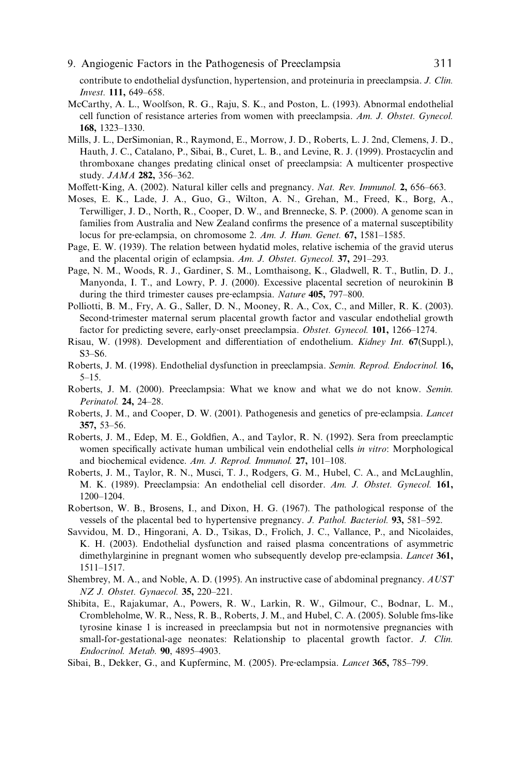<span id="page-14-0"></span>contribute to endothelial dysfunction, hypertension, and proteinuria in preeclampsia. J. Clin. Invest. 111, 649–658.

- McCarthy, A. L., Woolfson, R. G., Raju, S. K., and Poston, L. (1993). Abnormal endothelial cell function of resistance arteries from women with preeclampsia. Am. J. Obstet. Gynecol. 168, 1323–1330.
- Mills, J. L., DerSimonian, R., Raymond, E., Morrow, J. D., Roberts, L. J. 2nd, Clemens, J. D., Hauth, J. C., Catalano, P., Sibai, B., Curet, L. B., and Levine, R. J. (1999). Prostacyclin and thromboxane changes predating clinical onset of preeclampsia: A multicenter prospective study. JAMA 282, 356–362.
- Moffett-King, A. (2002). Natural killer cells and pregnancy. Nat. Rev. Immunol. 2, 656–663.
- Moses, E. K., Lade, J. A., Guo, G., Wilton, A. N., Grehan, M., Freed, K., Borg, A., Terwilliger, J. D., North, R., Cooper, D. W., and Brennecke, S. P. (2000). A genome scan in families from Australia and New Zealand confirms the presence of a maternal susceptibility locus for pre-eclampsia, on chromosome 2. Am. J. Hum. Genet. 67, 1581–1585.
- Page, E. W. (1939). The relation between hydatid moles, relative ischemia of the gravid uterus and the placental origin of eclampsia. Am. J. Obstet. Gynecol. 37, 291–293.
- Page, N. M., Woods, R. J., Gardiner, S. M., Lomthaisong, K., Gladwell, R. T., Butlin, D. J., Manyonda, I. T., and Lowry, P. J. (2000). Excessive placental secretion of neurokinin B during the third trimester causes pre-eclampsia. Nature 405, 797–800.
- Polliotti, B. M., Fry, A. G., Saller, D. N., Mooney, R. A., Cox, C., and Miller, R. K. (2003). Second-trimester maternal serum placental growth factor and vascular endothelial growth factor for predicting severe, early-onset preeclampsia. Obstet. Gynecol. 101, 1266–1274.
- Risau, W. (1998). Development and differentiation of endothelium. *Kidney Int.* 67(Suppl.), S3–S6.
- Roberts, J. M. (1998). Endothelial dysfunction in preeclampsia. Semin. Reprod. Endocrinol. 16, 5–15.
- Roberts, J. M. (2000). Preeclampsia: What we know and what we do not know. Semin. Perinatol. 24, 24–28.
- Roberts, J. M., and Cooper, D. W. (2001). Pathogenesis and genetics of pre‐eclampsia. Lancet 357, 53–56.
- Roberts, J. M., Edep, M. E., Goldfien, A., and Taylor, R. N. (1992). Sera from preeclamptic women specifically activate human umbilical vein endothelial cells in vitro: Morphological and biochemical evidence. Am. J. Reprod. Immunol. 27, 101–108.
- Roberts, J. M., Taylor, R. N., Musci, T. J., Rodgers, G. M., Hubel, C. A., and McLaughlin, M. K. (1989). Preeclampsia: An endothelial cell disorder. Am. J. Obstet. Gynecol. 161, 1200–1204.
- Robertson, W. B., Brosens, I., and Dixon, H. G. (1967). The pathological response of the vessels of the placental bed to hypertensive pregnancy. J. Pathol. Bacteriol. 93, 581–592.
- Savvidou, M. D., Hingorani, A. D., Tsikas, D., Frolich, J. C., Vallance, P., and Nicolaides, K. H. (2003). Endothelial dysfunction and raised plasma concentrations of asymmetric dimethylarginine in pregnant women who subsequently develop pre-eclampsia. Lancet 361, 1511–1517.
- Shembrey, M. A., and Noble, A. D. (1995). An instructive case of abdominal pregnancy. AUST NZ J. Obstet. Gynaecol. 35, 220-221.
- Shibita, E., Rajakumar, A., Powers, R. W., Larkin, R. W., Gilmour, C., Bodnar, L. M., Crombleholme, W. R., Ness, R. B., Roberts, J. M., and Hubel, C. A. (2005). Soluble fms-like tyrosine kinase 1 is increased in preeclampsia but not in normotensive pregnancies with small-for-gestational-age neonates: Relationship to placental growth factor. J. Clin. Endocrinol. Metab. 90, 4895–4903.
- Sibai, B., Dekker, G., and Kupferminc, M. (2005). Pre-eclampsia. *Lancet* 365, 785–799.